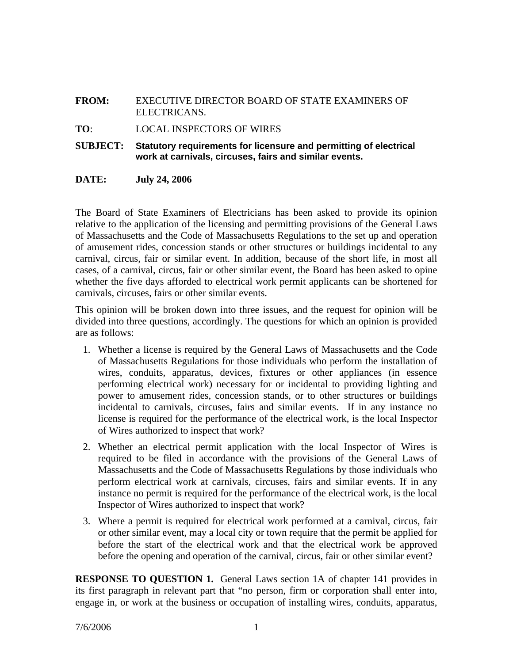## **FROM:** EXECUTIVE DIRECTOR BOARD OF STATE EXAMINERS OF ELECTRICANS.

**TO**: LOCAL INSPECTORS OF WIRES

**SUBJECT: Statutory requirements for licensure and permitting of electrical work at carnivals, circuses, fairs and similar events.** 

## **DATE: July 24, 2006**

The Board of State Examiners of Electricians has been asked to provide its opinion relative to the application of the licensing and permitting provisions of the General Laws of Massachusetts and the Code of Massachusetts Regulations to the set up and operation of amusement rides, concession stands or other structures or buildings incidental to any carnival, circus, fair or similar event. In addition, because of the short life, in most all cases, of a carnival, circus, fair or other similar event, the Board has been asked to opine whether the five days afforded to electrical work permit applicants can be shortened for carnivals, circuses, fairs or other similar events.

This opinion will be broken down into three issues, and the request for opinion will be divided into three questions, accordingly. The questions for which an opinion is provided are as follows:

- 1. Whether a license is required by the General Laws of Massachusetts and the Code of Massachusetts Regulations for those individuals who perform the installation of wires, conduits, apparatus, devices, fixtures or other appliances (in essence performing electrical work) necessary for or incidental to providing lighting and power to amusement rides, concession stands, or to other structures or buildings incidental to carnivals, circuses, fairs and similar events. If in any instance no license is required for the performance of the electrical work, is the local Inspector of Wires authorized to inspect that work?
- 2. Whether an electrical permit application with the local Inspector of Wires is required to be filed in accordance with the provisions of the General Laws of Massachusetts and the Code of Massachusetts Regulations by those individuals who perform electrical work at carnivals, circuses, fairs and similar events. If in any instance no permit is required for the performance of the electrical work, is the local Inspector of Wires authorized to inspect that work?
- 3. Where a permit is required for electrical work performed at a carnival, circus, fair or other similar event, may a local city or town require that the permit be applied for before the start of the electrical work and that the electrical work be approved before the opening and operation of the carnival, circus, fair or other similar event?

**RESPONSE TO QUESTION 1.** General Laws section 1A of chapter 141 provides in its first paragraph in relevant part that "no person, firm or corporation shall enter into, engage in, or work at the business or occupation of installing wires, conduits, apparatus,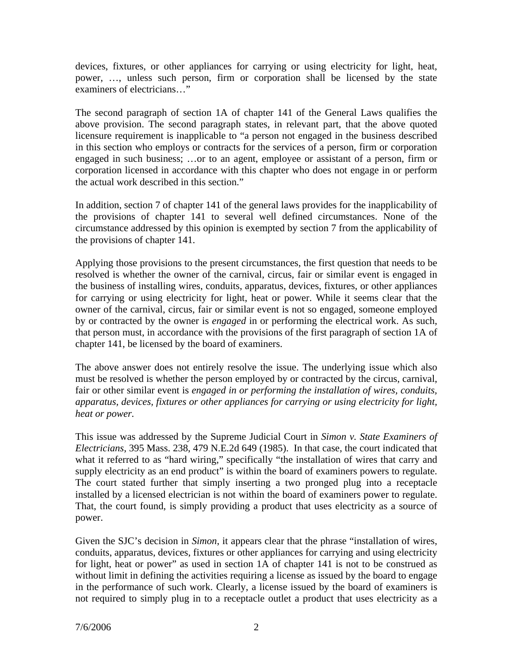devices, fixtures, or other appliances for carrying or using electricity for light, heat, power, …, unless such person, firm or corporation shall be licensed by the state examiners of electricians…"

The second paragraph of section 1A of chapter 141 of the General Laws qualifies the above provision. The second paragraph states, in relevant part, that the above quoted licensure requirement is inapplicable to "a person not engaged in the business described in this section who employs or contracts for the services of a person, firm or corporation engaged in such business; …or to an agent, employee or assistant of a person, firm or corporation licensed in accordance with this chapter who does not engage in or perform the actual work described in this section."

In addition, section 7 of chapter 141 of the general laws provides for the inapplicability of the provisions of chapter 141 to several well defined circumstances. None of the circumstance addressed by this opinion is exempted by section 7 from the applicability of the provisions of chapter 141.

Applying those provisions to the present circumstances, the first question that needs to be resolved is whether the owner of the carnival, circus, fair or similar event is engaged in the business of installing wires, conduits, apparatus, devices, fixtures, or other appliances for carrying or using electricity for light, heat or power. While it seems clear that the owner of the carnival, circus, fair or similar event is not so engaged, someone employed by or contracted by the owner is *engaged* in or performing the electrical work. As such, that person must, in accordance with the provisions of the first paragraph of section 1A of chapter 141, be licensed by the board of examiners.

The above answer does not entirely resolve the issue. The underlying issue which also must be resolved is whether the person employed by or contracted by the circus, carnival, fair or other similar event is *engaged in or performing the installation of wires, conduits, apparatus, devices, fixtures or other appliances for carrying or using electricity for light, heat or power.*

This issue was addressed by the Supreme Judicial Court in *Simon v. State Examiners of Electricians*, 395 Mass. 238, 479 N.E.2d 649 (1985). In that case, the court indicated that what it referred to as "hard wiring," specifically "the installation of wires that carry and supply electricity as an end product" is within the board of examiners powers to regulate. The court stated further that simply inserting a two pronged plug into a receptacle installed by a licensed electrician is not within the board of examiners power to regulate. That, the court found, is simply providing a product that uses electricity as a source of power.

Given the SJC's decision in *Simon*, it appears clear that the phrase "installation of wires, conduits, apparatus, devices, fixtures or other appliances for carrying and using electricity for light, heat or power" as used in section 1A of chapter 141 is not to be construed as without limit in defining the activities requiring a license as issued by the board to engage in the performance of such work. Clearly, a license issued by the board of examiners is not required to simply plug in to a receptacle outlet a product that uses electricity as a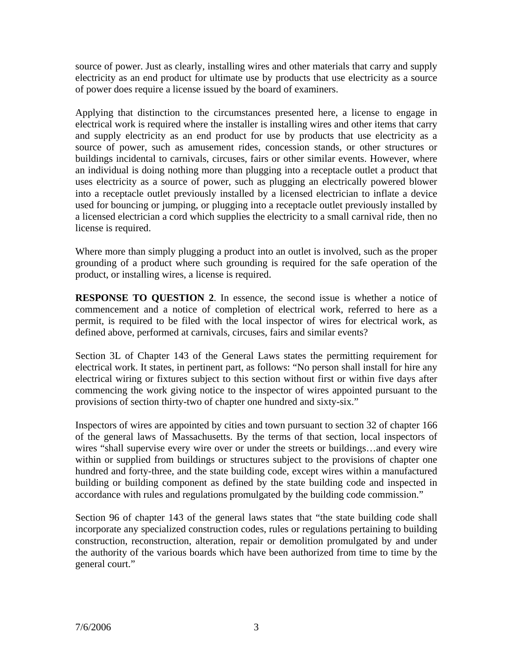source of power. Just as clearly, installing wires and other materials that carry and supply electricity as an end product for ultimate use by products that use electricity as a source of power does require a license issued by the board of examiners.

Applying that distinction to the circumstances presented here, a license to engage in electrical work is required where the installer is installing wires and other items that carry and supply electricity as an end product for use by products that use electricity as a source of power, such as amusement rides, concession stands, or other structures or buildings incidental to carnivals, circuses, fairs or other similar events. However, where an individual is doing nothing more than plugging into a receptacle outlet a product that uses electricity as a source of power, such as plugging an electrically powered blower into a receptacle outlet previously installed by a licensed electrician to inflate a device used for bouncing or jumping, or plugging into a receptacle outlet previously installed by a licensed electrician a cord which supplies the electricity to a small carnival ride, then no license is required.

Where more than simply plugging a product into an outlet is involved, such as the proper grounding of a product where such grounding is required for the safe operation of the product, or installing wires, a license is required.

**RESPONSE TO QUESTION 2**. In essence, the second issue is whether a notice of commencement and a notice of completion of electrical work, referred to here as a permit, is required to be filed with the local inspector of wires for electrical work, as defined above, performed at carnivals, circuses, fairs and similar events?

Section 3L of Chapter 143 of the General Laws states the permitting requirement for electrical work. It states, in pertinent part, as follows: "No person shall install for hire any electrical wiring or fixtures subject to this section without first or within five days after commencing the work giving notice to the inspector of wires appointed pursuant to the provisions of section thirty-two of chapter one hundred and sixty-six."

Inspectors of wires are appointed by cities and town pursuant to section 32 of chapter 166 of the general laws of Massachusetts. By the terms of that section, local inspectors of wires "shall supervise every wire over or under the streets or buildings…and every wire within or supplied from buildings or structures subject to the provisions of chapter one hundred and forty-three, and the state building code, except wires within a manufactured building or building component as defined by the state building code and inspected in accordance with rules and regulations promulgated by the building code commission."

Section 96 of chapter 143 of the general laws states that "the state building code shall incorporate any specialized construction codes, rules or regulations pertaining to building construction, reconstruction, alteration, repair or demolition promulgated by and under the authority of the various boards which have been authorized from time to time by the general court."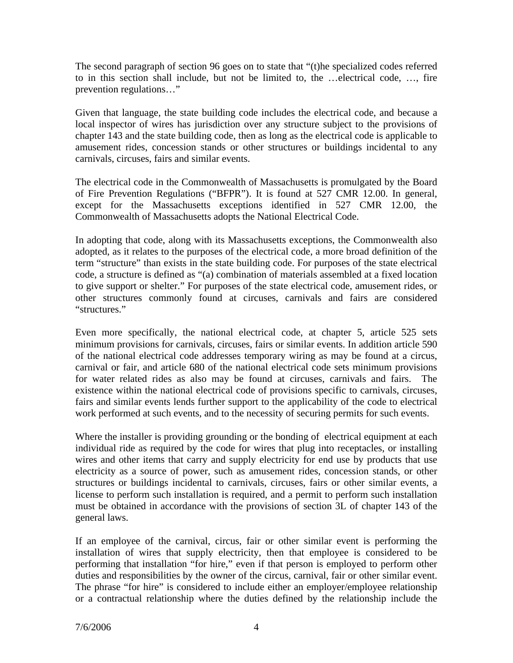The second paragraph of section 96 goes on to state that "(t)he specialized codes referred to in this section shall include, but not be limited to, the …electrical code, …, fire prevention regulations…"

Given that language, the state building code includes the electrical code, and because a local inspector of wires has jurisdiction over any structure subject to the provisions of chapter 143 and the state building code, then as long as the electrical code is applicable to amusement rides, concession stands or other structures or buildings incidental to any carnivals, circuses, fairs and similar events.

The electrical code in the Commonwealth of Massachusetts is promulgated by the Board of Fire Prevention Regulations ("BFPR"). It is found at 527 CMR 12.00. In general, except for the Massachusetts exceptions identified in 527 CMR 12.00, the Commonwealth of Massachusetts adopts the National Electrical Code.

In adopting that code, along with its Massachusetts exceptions, the Commonwealth also adopted, as it relates to the purposes of the electrical code, a more broad definition of the term "structure" than exists in the state building code. For purposes of the state electrical code, a structure is defined as "(a) combination of materials assembled at a fixed location to give support or shelter." For purposes of the state electrical code, amusement rides, or other structures commonly found at circuses, carnivals and fairs are considered "structures."

Even more specifically, the national electrical code, at chapter 5, article 525 sets minimum provisions for carnivals, circuses, fairs or similar events. In addition article 590 of the national electrical code addresses temporary wiring as may be found at a circus, carnival or fair, and article 680 of the national electrical code sets minimum provisions for water related rides as also may be found at circuses, carnivals and fairs. The existence within the national electrical code of provisions specific to carnivals, circuses, fairs and similar events lends further support to the applicability of the code to electrical work performed at such events, and to the necessity of securing permits for such events.

Where the installer is providing grounding or the bonding of electrical equipment at each individual ride as required by the code for wires that plug into receptacles, or installing wires and other items that carry and supply electricity for end use by products that use electricity as a source of power, such as amusement rides, concession stands, or other structures or buildings incidental to carnivals, circuses, fairs or other similar events, a license to perform such installation is required, and a permit to perform such installation must be obtained in accordance with the provisions of section 3L of chapter 143 of the general laws.

If an employee of the carnival, circus, fair or other similar event is performing the installation of wires that supply electricity, then that employee is considered to be performing that installation "for hire," even if that person is employed to perform other duties and responsibilities by the owner of the circus, carnival, fair or other similar event. The phrase "for hire" is considered to include either an employer/employee relationship or a contractual relationship where the duties defined by the relationship include the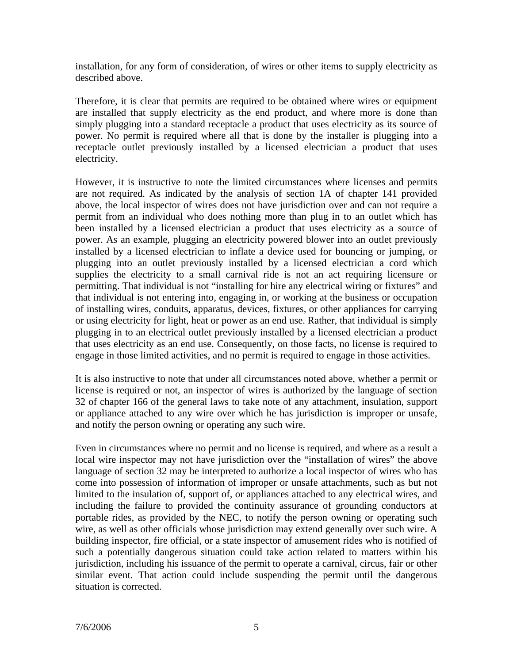installation, for any form of consideration, of wires or other items to supply electricity as described above.

Therefore, it is clear that permits are required to be obtained where wires or equipment are installed that supply electricity as the end product, and where more is done than simply plugging into a standard receptacle a product that uses electricity as its source of power. No permit is required where all that is done by the installer is plugging into a receptacle outlet previously installed by a licensed electrician a product that uses electricity.

However, it is instructive to note the limited circumstances where licenses and permits are not required. As indicated by the analysis of section 1A of chapter 141 provided above, the local inspector of wires does not have jurisdiction over and can not require a permit from an individual who does nothing more than plug in to an outlet which has been installed by a licensed electrician a product that uses electricity as a source of power. As an example, plugging an electricity powered blower into an outlet previously installed by a licensed electrician to inflate a device used for bouncing or jumping, or plugging into an outlet previously installed by a licensed electrician a cord which supplies the electricity to a small carnival ride is not an act requiring licensure or permitting. That individual is not "installing for hire any electrical wiring or fixtures" and that individual is not entering into, engaging in, or working at the business or occupation of installing wires, conduits, apparatus, devices, fixtures, or other appliances for carrying or using electricity for light, heat or power as an end use. Rather, that individual is simply plugging in to an electrical outlet previously installed by a licensed electrician a product that uses electricity as an end use. Consequently, on those facts, no license is required to engage in those limited activities, and no permit is required to engage in those activities.

It is also instructive to note that under all circumstances noted above, whether a permit or license is required or not, an inspector of wires is authorized by the language of section 32 of chapter 166 of the general laws to take note of any attachment, insulation, support or appliance attached to any wire over which he has jurisdiction is improper or unsafe, and notify the person owning or operating any such wire.

Even in circumstances where no permit and no license is required, and where as a result a local wire inspector may not have jurisdiction over the "installation of wires" the above language of section 32 may be interpreted to authorize a local inspector of wires who has come into possession of information of improper or unsafe attachments, such as but not limited to the insulation of, support of, or appliances attached to any electrical wires, and including the failure to provided the continuity assurance of grounding conductors at portable rides, as provided by the NEC, to notify the person owning or operating such wire, as well as other officials whose jurisdiction may extend generally over such wire. A building inspector, fire official, or a state inspector of amusement rides who is notified of such a potentially dangerous situation could take action related to matters within his jurisdiction, including his issuance of the permit to operate a carnival, circus, fair or other similar event. That action could include suspending the permit until the dangerous situation is corrected.